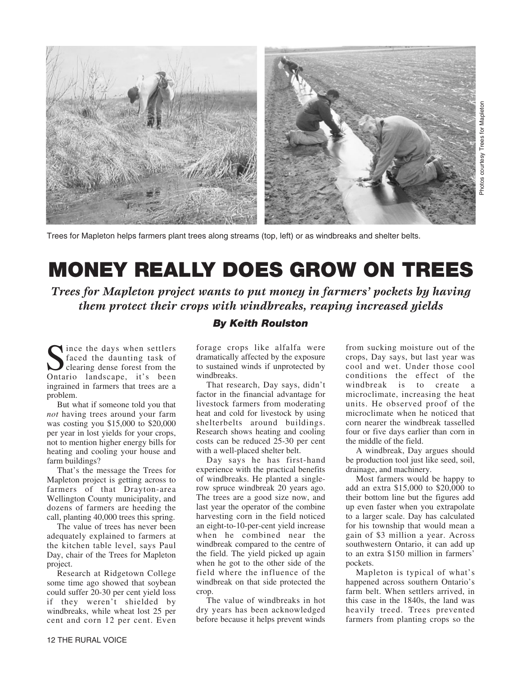

Trees for Mapleton helps farmers plant trees along streams (top, left) or as windbreaks and shelter belts.

## **MONEY REALLY DOES GROW ON TREES**

*Trees for Mapleton project wants to put money in farmers' pockets by having them protect their crops with windbreaks, reaping increased yields*

## *By Keith Roulston*

Since the days when settlers<br>faced the daunting task of<br>Ontario landscape, it's been faced the daunting task of Ontario landscape, it's been ingrained in farmers that trees are a problem.

But what if someone told you that *not* having trees around your farm was costing you \$15,000 to \$20,000 per year in lost yields for your crops, not to mention higher energy bills for heating and cooling your house and farm buildings?

That's the message the Trees for Mapleton project is getting across to farmers of that Drayton-area Wellington County municipality, and dozens of farmers are heeding the call, planting 40,000 trees this spring.

The value of trees has never been adequately explained to farmers at the kitchen table level, says Paul Day, chair of the Trees for Mapleton project.

Research at Ridgetown College some time ago showed that soybean could suffer 20-30 per cent yield loss if they weren't shielded by windbreaks, while wheat lost 25 per cent and corn 12 per cent. Even

forage crops like alfalfa were dramatically affected by the exposure to sustained winds if unprotected by windbreaks.

That research, Day says, didn't factor in the financial advantage for livestock farmers from moderating heat and cold for livestock by using shelterbelts around buildings. Research shows heating and cooling costs can be reduced 25-30 per cent with a well-placed shelter belt.

Day says he has first-hand experience with the practical benefits of windbreaks. He planted a singlerow spruce windbreak 20 years ago. The trees are a good size now, and last year the operator of the combine harvesting corn in the field noticed an eight-to-10-per-cent yield increase when he combined near the windbreak compared to the centre of the field. The yield picked up again when he got to the other side of the field where the influence of the windbreak on that side protected the crop.

The value of windbreaks in hot dry years has been acknowledged before because it helps prevent winds from sucking moisture out of the crops, Day says, but last year was cool and wet. Under those cool conditions the effect of the windbreak is to create a microclimate, increasing the heat units. He observed proof of the microclimate when he noticed that corn nearer the windbreak tasselled four or five days earlier than corn in the middle of the field.

A windbreak, Day argues should be production tool just like seed, soil, drainage, and machinery.

Most farmers would be happy to add an extra \$15,000 to \$20,000 to their bottom line but the figures add up even faster when you extrapolate to a larger scale. Day has calculated for his township that would mean a gain of \$3 million a year. Across southwestern Ontario, it can add up to an extra \$150 million in farmers' pockets.

Mapleton is typical of what's happened across southern Ontario's farm belt. When settlers arrived, in this case in the 1840s, the land was heavily treed. Trees prevented farmers from planting crops so the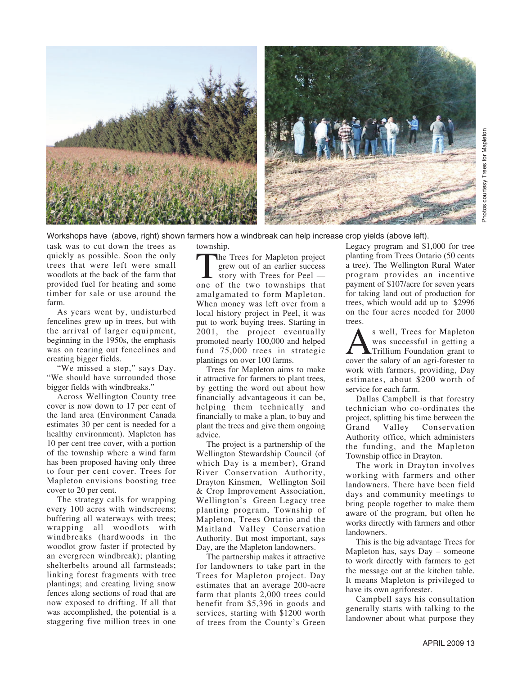

Workshops have (above, right) shown farmers how a windbreak can help increase crop yields (above left).

township.

task was to cut down the trees as quickly as possible. Soon the only trees that were left were small woodlots at the back of the farm that provided fuel for heating and some timber for sale or use around the farm.

As years went by, undisturbed fencelines grew up in trees, but with the arrival of larger equipment, beginning in the 1950s, the emphasis was on tearing out fencelines and creating bigger fields.

"We missed a step," says Day. "We should have surrounded those bigger fields with windbreaks."

Across Wellington County tree cover is now down to 17 per cent of the land area (Environment Canada estimates 30 per cent is needed for a healthy environment). Mapleton has 10 per cent tree cover, with a portion of the township where a wind farm has been proposed having only three to four per cent cover. Trees for Mapleton envisions boosting tree cover to 20 per cent.

The strategy calls for wrapping every 100 acres with windscreens; buffering all waterways with trees; wrapping all woodlots with windbreaks (hardwoods in the woodlot grow faster if protected by an evergreen windbreak); planting shelterbelts around all farmsteads; linking forest fragments with tree plantings; and creating living snow fences along sections of road that are now exposed to drifting. If all that was accomplished, the potential is a staggering five million trees in one

The Trees for Mapleton project grew out of an earlier success story with Trees for Peel one of the two townships that amalgamated to form Mapleton. When money was left over from a local history project in Peel, it was put to work buying trees. Starting in 2001, the project eventually promoted nearly 100,000 and helped fund 75,000 trees in strategic plantings on over 100 farms.

Trees for Mapleton aims to make it attractive for farmers to plant trees, by getting the word out about how financially advantageous it can be, helping them technically and financially to make a plan, to buy and plant the trees and give them ongoing advice.

The project is a partnership of the Wellington Stewardship Council (of which Day is a member), Grand River Conservation Authority, Drayton Kinsmen, Wellington Soil & Crop Improvement Association, Wellington's Green Legacy tree planting program, Township of Mapleton, Trees Ontario and the Maitland Valley Conservation Authority. But most important, says Day, are the Mapleton landowners.

The partnership makes it attractive for landowners to take part in the Trees for Mapleton project. Day estimates that an average 200-acre farm that plants 2,000 trees could benefit from \$5,396 in goods and services, starting with \$1200 worth of trees from the County's Green Legacy program and \$1,000 for tree planting from Trees Ontario (50 cents a tree). The Wellington Rural Water program provides an incentive payment of \$107/acre for seven years for taking land out of production for trees, which would add up to \$2996 on the four acres needed for 2000 trees.

As well, Trees for Mapleton<br>
was successful in getting a<br>
cover the salary of an agri-forester to was successful in getting a Trillium Foundation grant to work with farmers, providing, Day estimates, about \$200 worth of service for each farm.

Dallas Campbell is that forestry technician who co-ordinates the project, splitting his time between the Grand Valley Conservation Authority office, which administers the funding, and the Mapleton Township office in Drayton.

The work in Drayton involves working with farmers and other landowners. There have been field days and community meetings to bring people together to make them aware of the program, but often he works directly with farmers and other landowners.

This is the big advantage Trees for Mapleton has, says Day – someone to work directly with farmers to get the message out at the kitchen table. It means Mapleton is privileged to have its own agriforester.

Campbell says his consultation generally starts with talking to the landowner about what purpose they